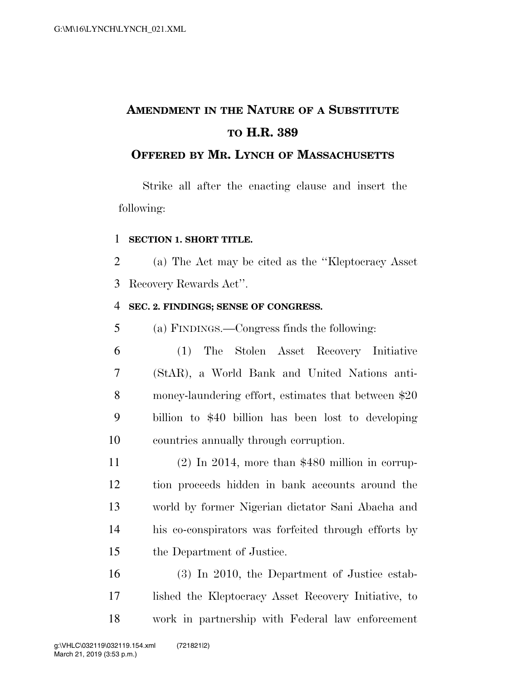# **AMENDMENT IN THE NATURE OF A SUBSTITUTE TO H.R. 389**

### **OFFERED BY MR. LYNCH OF MASSACHUSETTS**

Strike all after the enacting clause and insert the following:

#### **SECTION 1. SHORT TITLE.**

 (a) The Act may be cited as the ''Kleptocracy Asset Recovery Rewards Act''.

#### **SEC. 2. FINDINGS; SENSE OF CONGRESS.**

(a) FINDINGS.—Congress finds the following:

 (1) The Stolen Asset Recovery Initiative (StAR), a World Bank and United Nations anti- money-laundering effort, estimates that between \$20 billion to \$40 billion has been lost to developing countries annually through corruption.

 (2) In 2014, more than \$480 million in corrup- tion proceeds hidden in bank accounts around the world by former Nigerian dictator Sani Abacha and his co-conspirators was forfeited through efforts by the Department of Justice.

 (3) In 2010, the Department of Justice estab- lished the Kleptocracy Asset Recovery Initiative, to work in partnership with Federal law enforcement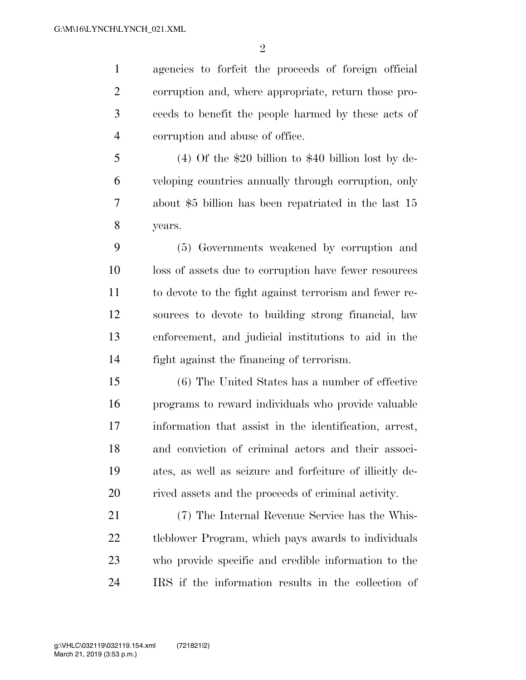agencies to forfeit the proceeds of foreign official corruption and, where appropriate, return those pro- ceeds to benefit the people harmed by these acts of corruption and abuse of office.

 (4) Of the \$20 billion to \$40 billion lost by de- veloping countries annually through corruption, only about \$5 billion has been repatriated in the last 15 years.

 (5) Governments weakened by corruption and loss of assets due to corruption have fewer resources to devote to the fight against terrorism and fewer re- sources to devote to building strong financial, law enforcement, and judicial institutions to aid in the fight against the financing of terrorism.

 (6) The United States has a number of effective programs to reward individuals who provide valuable information that assist in the identification, arrest, and conviction of criminal actors and their associ- ates, as well as seizure and forfeiture of illicitly de-rived assets and the proceeds of criminal activity.

 (7) The Internal Revenue Service has the Whis- tleblower Program, which pays awards to individuals who provide specific and credible information to the IRS if the information results in the collection of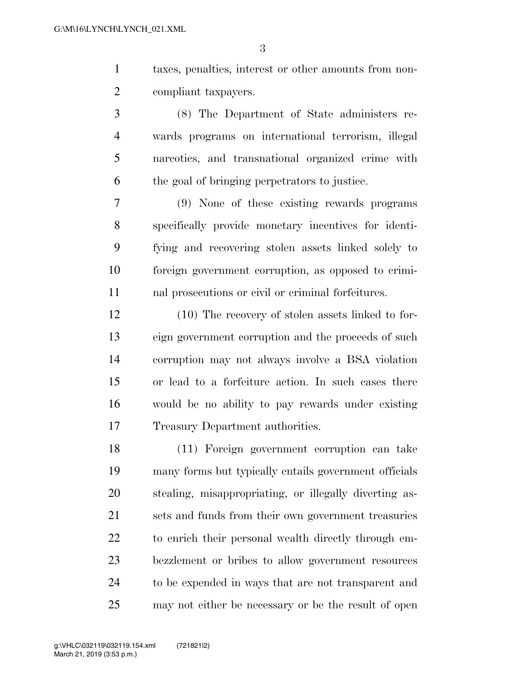taxes, penalties, interest or other amounts from non-compliant taxpayers.

 (8) The Department of State administers re- wards programs on international terrorism, illegal narcotics, and transnational organized crime with the goal of bringing perpetrators to justice.

 (9) None of these existing rewards programs specifically provide monetary incentives for identi- fying and recovering stolen assets linked solely to foreign government corruption, as opposed to crimi-nal prosecutions or civil or criminal forfeitures.

 (10) The recovery of stolen assets linked to for- eign government corruption and the proceeds of such corruption may not always involve a BSA violation or lead to a forfeiture action. In such cases there would be no ability to pay rewards under existing Treasury Department authorities.

 (11) Foreign government corruption can take many forms but typically entails government officials stealing, misappropriating, or illegally diverting as- sets and funds from their own government treasuries to enrich their personal wealth directly through em- bezzlement or bribes to allow government resources to be expended in ways that are not transparent and may not either be necessary or be the result of open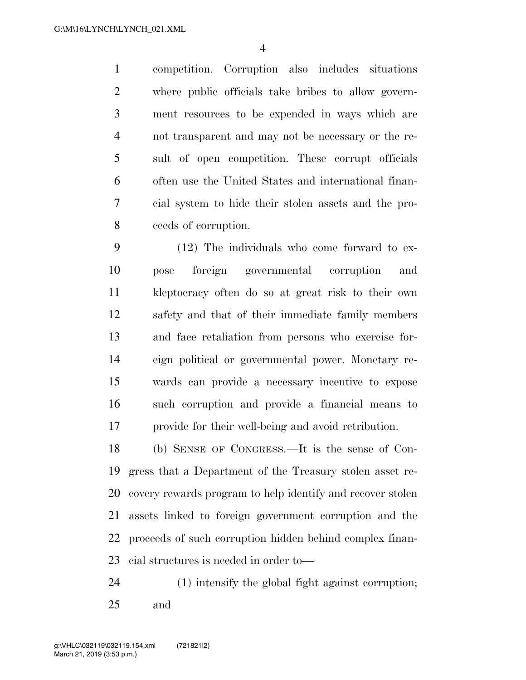competition. Corruption also includes situations where public officials take bribes to allow govern- ment resources to be expended in ways which are not transparent and may not be necessary or the re- sult of open competition. These corrupt officials often use the United States and international finan- cial system to hide their stolen assets and the pro-ceeds of corruption.

 (12) The individuals who come forward to ex- pose foreign governmental corruption and kleptocracy often do so at great risk to their own safety and that of their immediate family members and face retaliation from persons who exercise for- eign political or governmental power. Monetary re- wards can provide a necessary incentive to expose such corruption and provide a financial means to provide for their well-being and avoid retribution.

 (b) SENSE OF CONGRESS.—It is the sense of Con- gress that a Department of the Treasury stolen asset re- covery rewards program to help identify and recover stolen assets linked to foreign government corruption and the proceeds of such corruption hidden behind complex finan-cial structures is needed in order to—

 (1) intensify the global fight against corruption; and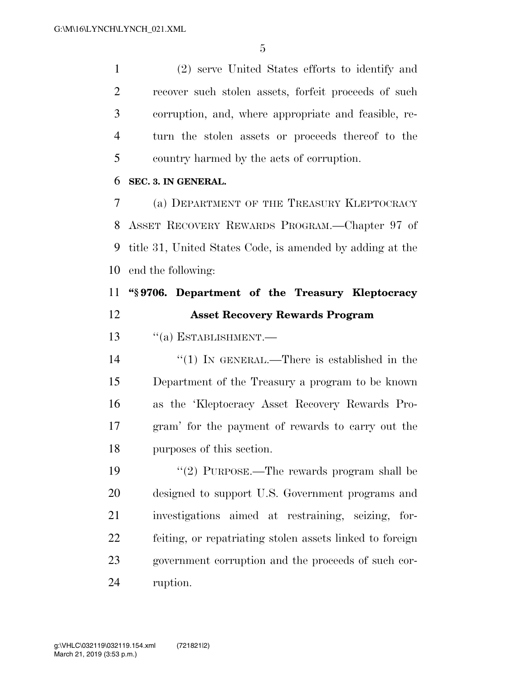(2) serve United States efforts to identify and recover such stolen assets, forfeit proceeds of such corruption, and, where appropriate and feasible, re- turn the stolen assets or proceeds thereof to the country harmed by the acts of corruption.

#### **SEC. 3. IN GENERAL.**

 (a) DEPARTMENT OF THE TREASURY KLEPTOCRACY ASSET RECOVERY REWARDS PROGRAM.—Chapter 97 of title 31, United States Code, is amended by adding at the end the following:

## **''§ 9706. Department of the Treasury Kleptocracy Asset Recovery Rewards Program**

13 "(a) ESTABLISHMENT.—

 $\frac{1}{2}$  (1) In GENERAL.—There is established in the Department of the Treasury a program to be known as the 'Kleptocracy Asset Recovery Rewards Pro- gram' for the payment of rewards to carry out the purposes of this section.

19 ''(2) PURPOSE.—The rewards program shall be designed to support U.S. Government programs and investigations aimed at restraining, seizing, for- feiting, or repatriating stolen assets linked to foreign government corruption and the proceeds of such cor-ruption.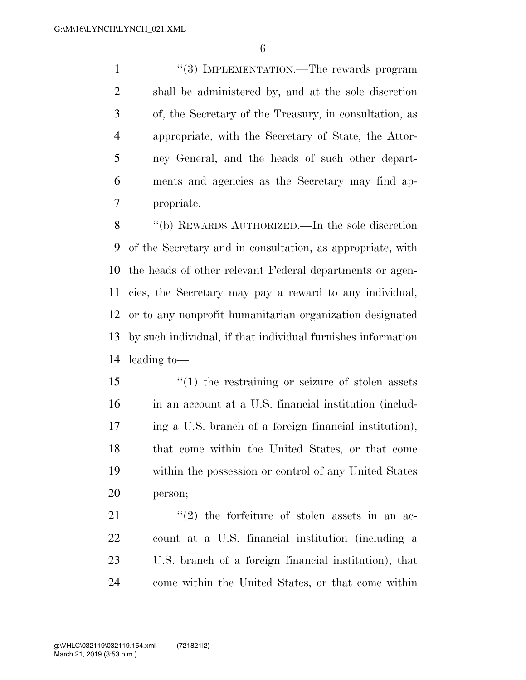1 ''(3) IMPLEMENTATION.—The rewards program shall be administered by, and at the sole discretion of, the Secretary of the Treasury, in consultation, as appropriate, with the Secretary of State, the Attor- ney General, and the heads of such other depart- ments and agencies as the Secretary may find ap-propriate.

 ''(b) REWARDS AUTHORIZED.—In the sole discretion of the Secretary and in consultation, as appropriate, with the heads of other relevant Federal departments or agen- cies, the Secretary may pay a reward to any individual, or to any nonprofit humanitarian organization designated by such individual, if that individual furnishes information leading to—

 ''(1) the restraining or seizure of stolen assets in an account at a U.S. financial institution (includ- ing a U.S. branch of a foreign financial institution), that come within the United States, or that come within the possession or control of any United States person;

 ''(2) the forfeiture of stolen assets in an ac- count at a U.S. financial institution (including a U.S. branch of a foreign financial institution), that come within the United States, or that come within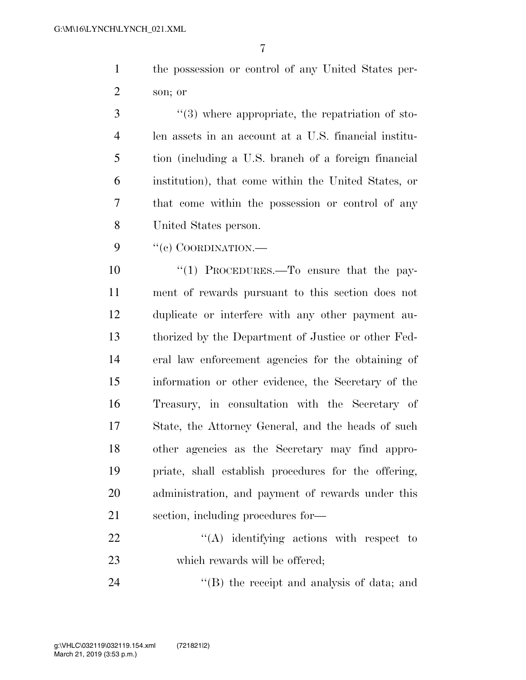the possession or control of any United States per-son; or

 $\frac{4}{3}$  where appropriate, the repatriation of sto- len assets in an account at a U.S. financial institu- tion (including a U.S. branch of a foreign financial institution), that come within the United States, or that come within the possession or control of any United States person.

9 "(c) COORDINATION.—

 ''(1) PROCEDURES.—To ensure that the pay- ment of rewards pursuant to this section does not duplicate or interfere with any other payment au- thorized by the Department of Justice or other Fed- eral law enforcement agencies for the obtaining of information or other evidence, the Secretary of the Treasury, in consultation with the Secretary of State, the Attorney General, and the heads of such other agencies as the Secretary may find appro- priate, shall establish procedures for the offering, administration, and payment of rewards under this section, including procedures for—

22 "'(A) identifying actions with respect to 23 which rewards will be offered;

24 ''(B) the receipt and analysis of data; and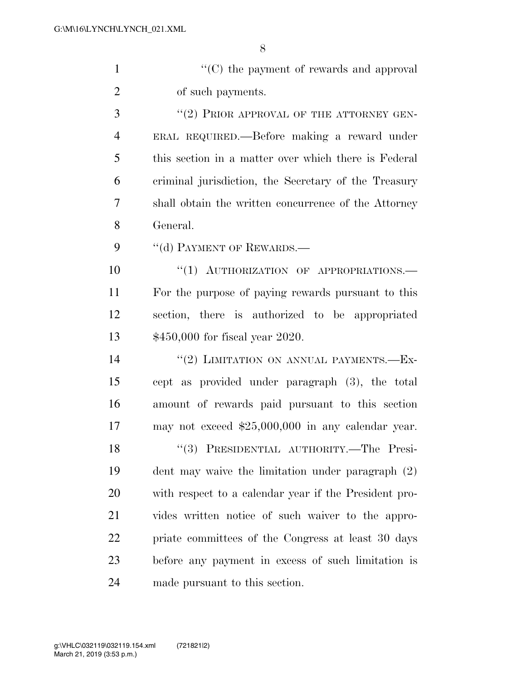''(C) the payment of rewards and approval of such payments.

3 "(2) PRIOR APPROVAL OF THE ATTORNEY GEN- ERAL REQUIRED.—Before making a reward under this section in a matter over which there is Federal criminal jurisdiction, the Secretary of the Treasury shall obtain the written concurrence of the Attorney General.

9 "(d) PAYMENT OF REWARDS.

 $(1)$  AUTHORIZATION OF APPROPRIATIONS. For the purpose of paying rewards pursuant to this section, there is authorized to be appropriated \$450,000 for fiscal year 2020.

14 "(2) LIMITATION ON ANNUAL PAYMENTS.—Ex- cept as provided under paragraph (3), the total amount of rewards paid pursuant to this section may not exceed \$25,000,000 in any calendar year. 18 "(3) PRESIDENTIAL AUTHORITY.—The Presi- dent may waive the limitation under paragraph (2) with respect to a calendar year if the President pro- vides written notice of such waiver to the appro- priate committees of the Congress at least 30 days before any payment in excess of such limitation is made pursuant to this section.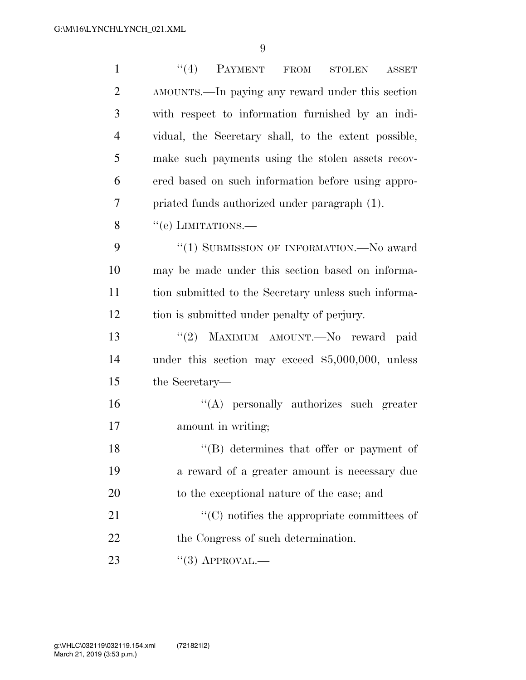| $\mathbf{1}$   | (4)<br>PAYMENT FROM<br><b>STOLEN</b><br><b>ASSET</b> |
|----------------|------------------------------------------------------|
| $\overline{2}$ | AMOUNTS.—In paying any reward under this section     |
| 3              | with respect to information furnished by an indi-    |
| $\overline{4}$ | vidual, the Secretary shall, to the extent possible, |
| 5              | make such payments using the stolen assets recov-    |
| 6              | ered based on such information before using appro-   |
| $\overline{7}$ | priated funds authorized under paragraph (1).        |
| 8              | "(e) LIMITATIONS.—                                   |
| 9              | "(1) SUBMISSION OF INFORMATION.—No award             |
| 10             | may be made under this section based on informa-     |
| 11             | tion submitted to the Secretary unless such informa- |
| 12             | tion is submitted under penalty of perjury.          |
| 13             | "(2) MAXIMUM AMOUNT. No reward paid                  |
| 14             | under this section may exceed $$5,000,000$ , unless  |
| 15             | the Secretary—                                       |
| 16             | "(A) personally authorizes such greater              |
| 17             | amount in writing;                                   |
| 18             | $\lq\lq (B)$ determines that offer or payment of     |
| 19             | a reward of a greater amount is necessary due        |
| 20             | to the exceptional nature of the case; and           |
| 21             | $\cdot$ (C) notifies the appropriate committees of   |
| 22             | the Congress of such determination.                  |
| 23             | $``(3)$ APPROVAL.—                                   |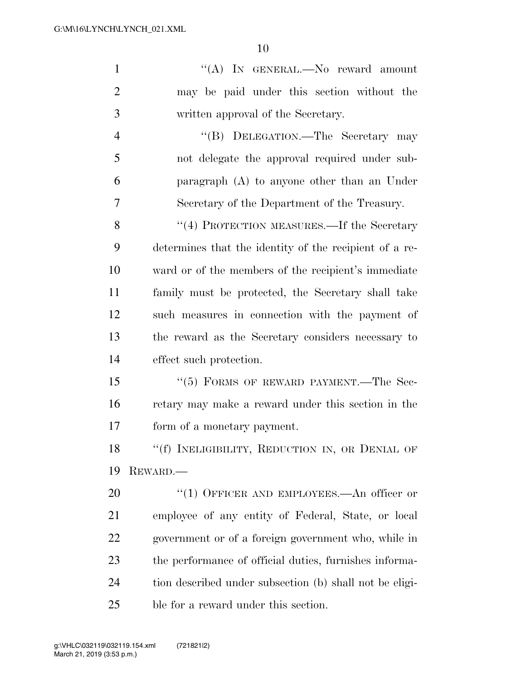| $\mathbf{1}$   | "(A) IN GENERAL.—No reward amount                       |
|----------------|---------------------------------------------------------|
| $\overline{2}$ | may be paid under this section without the              |
| 3              | written approval of the Secretary.                      |
| $\overline{4}$ | "(B) DELEGATION.—The Secretary may                      |
| 5              | not delegate the approval required under sub-           |
| 6              | paragraph $(A)$ to anyone other than an Under           |
| 7              | Secretary of the Department of the Treasury.            |
| 8              | "(4) PROTECTION MEASURES.—If the Secretary              |
| 9              | determines that the identity of the recipient of a re-  |
| 10             | ward or of the members of the recipient's immediate     |
| 11             | family must be protected, the Secretary shall take      |
| 12             | such measures in connection with the payment of         |
| 13             | the reward as the Secretary considers necessary to      |
| 14             | effect such protection.                                 |
| 15             | "(5) FORMS OF REWARD PAYMENT.—The Sec-                  |
| 16             | retary may make a reward under this section in the      |
| 17             | form of a monetary payment.                             |
| 18             | "(f) INELIGIBILITY, REDUCTION IN, OR DENIAL OF          |
| 19             | REWARD.                                                 |
| 20             | "(1) OFFICER AND EMPLOYEES.—An officer or               |
| 21             | employee of any entity of Federal, State, or local      |
| 22             | government or of a foreign government who, while in     |
| 23             | the performance of official duties, furnishes informa-  |
| 24             | tion described under subsection (b) shall not be eligi- |
| 25             | ble for a reward under this section.                    |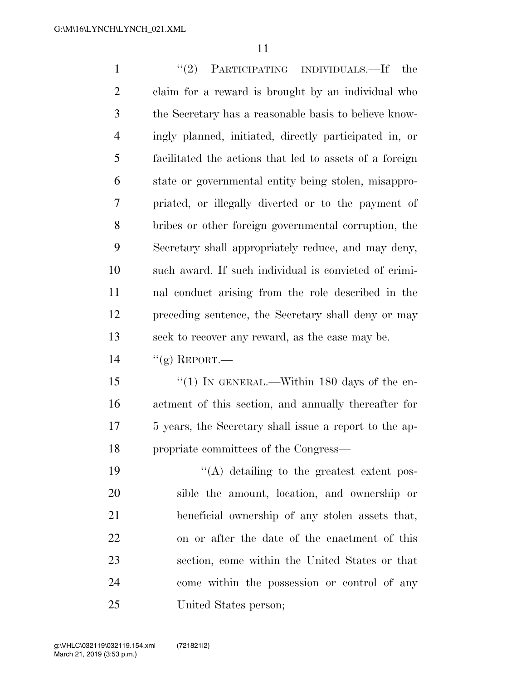1 ''(2) PARTICIPATING INDIVIDUALS.—If the claim for a reward is brought by an individual who the Secretary has a reasonable basis to believe know- ingly planned, initiated, directly participated in, or facilitated the actions that led to assets of a foreign state or governmental entity being stolen, misappro- priated, or illegally diverted or to the payment of bribes or other foreign governmental corruption, the Secretary shall appropriately reduce, and may deny, such award. If such individual is convicted of crimi- nal conduct arising from the role described in the preceding sentence, the Secretary shall deny or may seek to recover any reward, as the case may be.  $\frac{1}{2}$  REPORT.

15 "(1) IN GENERAL.—Within 180 days of the en- actment of this section, and annually thereafter for 5 years, the Secretary shall issue a report to the ap-propriate committees of the Congress—

 $\langle (A)$  detailing to the greatest extent pos- sible the amount, location, and ownership or beneficial ownership of any stolen assets that, on or after the date of the enactment of this section, come within the United States or that come within the possession or control of any United States person;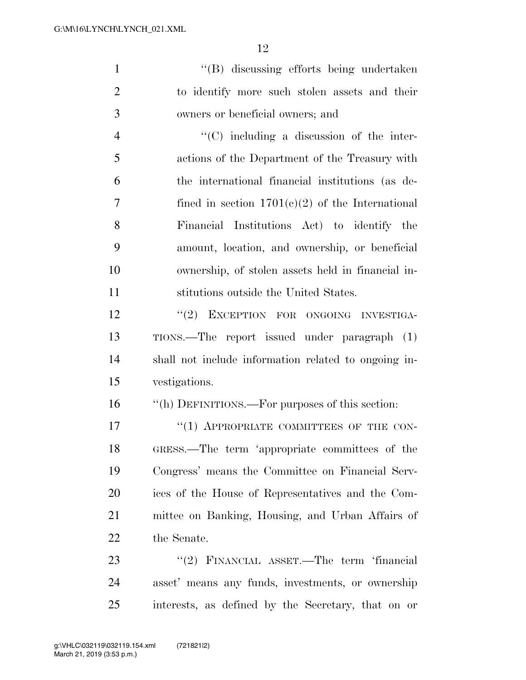''(B) discussing efforts being undertaken to identify more such stolen assets and their owners or beneficial owners; and

 ''(C) including a discussion of the inter- actions of the Department of the Treasury with the international financial institutions (as de- fined in section 1701(c)(2) of the International Financial Institutions Act) to identify the amount, location, and ownership, or beneficial ownership, of stolen assets held in financial in-stitutions outside the United States.

12 "(2) EXCEPTION FOR ONGOING INVESTIGA- TIONS.—The report issued under paragraph (1) shall not include information related to ongoing in-vestigations.

''(h) DEFINITIONS.—For purposes of this section:

17 "(1) APPROPRIATE COMMITTEES OF THE CON- GRESS.—The term 'appropriate committees of the Congress' means the Committee on Financial Serv- ices of the House of Representatives and the Com- mittee on Banking, Housing, and Urban Affairs of the Senate.

23 "(2) FINANCIAL ASSET.—The term 'financial asset' means any funds, investments, or ownership interests, as defined by the Secretary, that on or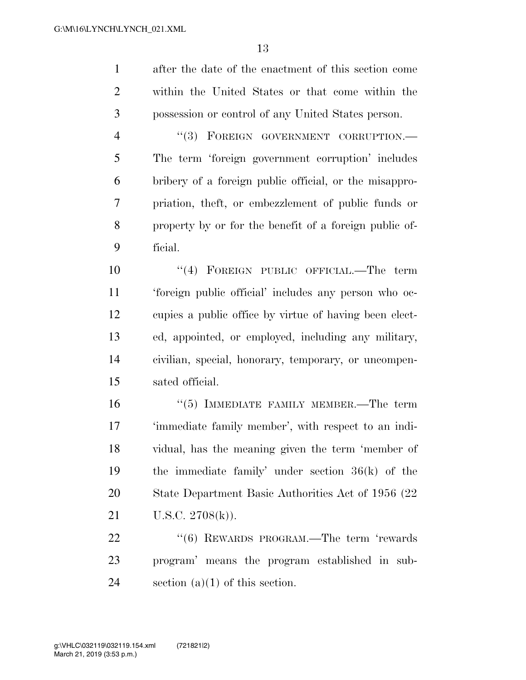after the date of the enactment of this section come within the United States or that come within the possession or control of any United States person.

4 "(3) FOREIGN GOVERNMENT CORRUPTION.— The term 'foreign government corruption' includes bribery of a foreign public official, or the misappro- priation, theft, or embezzlement of public funds or property by or for the benefit of a foreign public of-ficial.

 ''(4) FOREIGN PUBLIC OFFICIAL.—The term 'foreign public official' includes any person who oc- cupies a public office by virtue of having been elect- ed, appointed, or employed, including any military, civilian, special, honorary, temporary, or uncompen-sated official.

 ''(5) IMMEDIATE FAMILY MEMBER.—The term 'immediate family member', with respect to an indi- vidual, has the meaning given the term 'member of the immediate family' under section 36(k) of the State Department Basic Authorities Act of 1956 (22 U.S.C. 2708(k)).

22 "(6) REWARDS PROGRAM.—The term 'rewards program' means the program established in sub-24 section  $(a)(1)$  of this section.